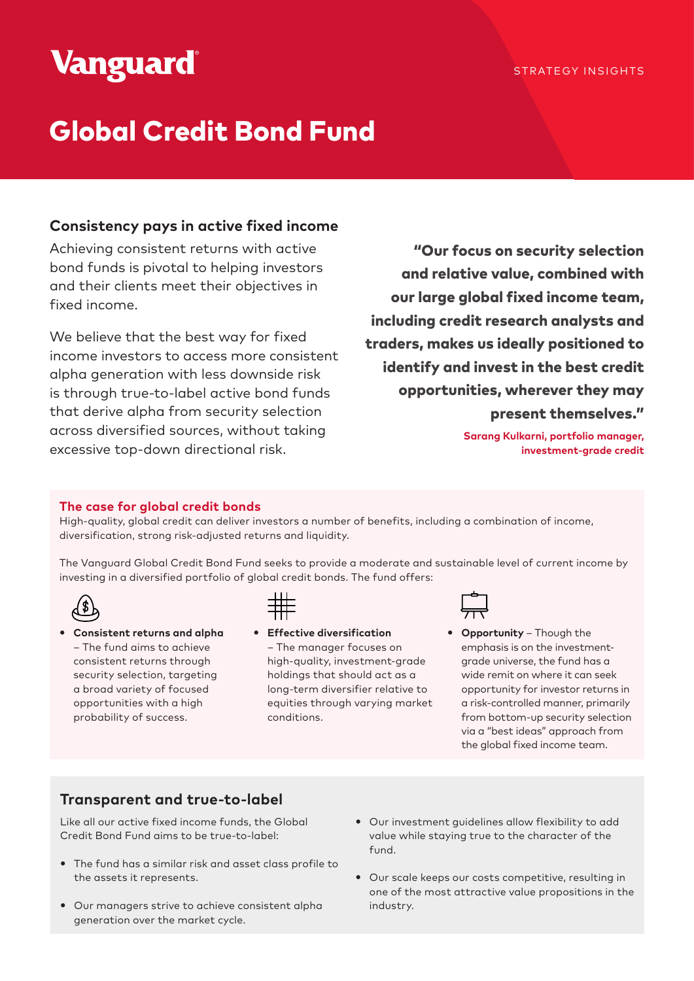# **Vanguard**

# Global Credit Bond Fund

# **Consistency pays in active fixed income**

Achieving consistent returns with active bond funds is pivotal to helping investors and their clients meet their objectives in fixed income.

We believe that the best way for fixed income investors to access more consistent alpha generation with less downside risk is through true-to-label active bond funds that derive alpha from security selection across diversified sources, without taking excessive top-down directional risk.

"Our focus on security selection and relative value, combined with our large global fixed income team, including credit research analysts and traders, makes us ideally positioned to identify and invest in the best credit opportunities, wherever they may present themselves."

> **Sarang Kulkarni, portfolio manager, investment-grade credit**

# **The case for global credit bonds**

High-quality, global credit can deliver investors a number of benefits, including a combination of income, diversification, strong risk-adjusted returns and liquidity.

The Vanguard Global Credit Bond Fund seeks to provide a moderate and sustainable level of current income by investing in a diversified portfolio of global credit bonds. The fund offers:



y **Consistent returns and alpha** – The fund aims to achieve consistent returns through security selection, targeting a broad variety of focused opportunities with a high probability of success.



**•** Effective diversification – The manager focuses on high-quality, investment-grade holdings that should act as a long-term diversifier relative to equities through varying market conditions.



**• Opportunity** – Though the emphasis is on the investmentgrade universe, the fund has a wide remit on where it can seek opportunity for investor returns in a risk-controlled manner, primarily from bottom-up security selection via a "best ideas" approach from the global fixed income team.

# **Transparent and true-to-label**

Like all our active fixed income funds, the Global Credit Bond Fund aims to be true-to-label:

- The fund has a similar risk and asset class profile to the assets it represents.
- Our managers strive to achieve consistent alpha generation over the market cycle.
- Our investment guidelines allow flexibility to add value while staying true to the character of the fund.
- Our scale keeps our costs competitive, resulting in one of the most attractive value propositions in the industry.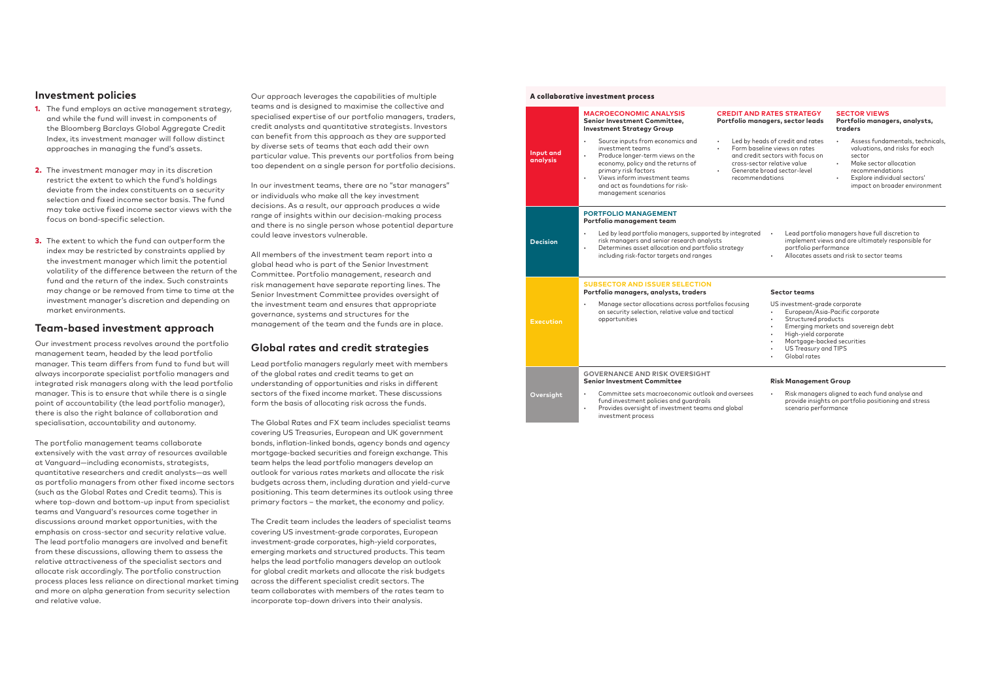## **Investment policies**

- **1.** The fund employs an active management strategy, and while the fund will invest in components of the Bloomberg Barclays Global Aggregate Credit Index, its investment manager will follow distinct approaches in managing the fund's assets.
- 2. The investment manager may in its discretion restrict the extent to which the fund's holdings deviate from the index constituents on a security selection and fixed income sector basis. The fund may take active fixed income sector views with the focus on bond-specific selection.
- **3.** The extent to which the fund can outperform the index may be restricted by constraints applied by the investment manager which limit the potential volatility of the difference between the return of the fund and the return of the index. Such constraints may change or be removed from time to time at the investment manager's discretion and depending on market environments.

## **Team-based investment approach**

Our investment process revolves around the portfolio management team, headed by the lead portfolio manager. This team differs from fund to fund but will always incorporate specialist portfolio managers and integrated risk managers along with the lead portfolio manager. This is to ensure that while there is a single point of accountability (the lead portfolio manager), there is also the right balance of collaboration and specialisation, accountability and autonomy.

The portfolio management teams collaborate extensively with the vast array of resources available at Vanguard—including economists, strategists, quantitative researchers and credit analysts—as well as portfolio managers from other fixed income sectors (such as the Global Rates and Credit teams). This is where top-down and bottom-up input from specialist teams and Vanguard's resources come together in discussions around market opportunities, with the emphasis on cross-sector and security relative value. The lead portfolio managers are involved and benefit from these discussions, allowing them to assess the relative attractiveness of the specialist sectors and allocate risk accordingly. The portfolio construction process places less reliance on directional market timing and more on alpha generation from security selection and relative value.

Our approach leverages the capabilities of multiple teams and is designed to maximise the collective and specialised expertise of our portfolio managers, traders, credit analysts and quantitative strategists. Investors can benefit from this approach as they are supported by diverse sets of teams that each add their own particular value. This prevents our portfolios from being too dependent on a single person for portfolio decisions.

y heads of credit and rates ,<br>baseline views on rates redit sectors with focus on -sector relative value rate broad sector-level recommendations

In our investment teams, there are no "star managers" or individuals who make all the key investment decisions. As a result, our approach produces a wide range of insights within our decision-making process and there is no single person whose potential departure could leave investors vulnerable.

All members of the investment team report into a global head who is part of the Senior Investment Committee. Portfolio management, research and risk management have separate reporting lines. The Senior Investment Committee provides oversight of the investment team and ensures that appropriate governance, systems and structures for the management of the team and the funds are in place.

> Provides oversight of investment teams and global investment process

# **Global rates and credit strategies**

Lead portfolio managers regularly meet with members of the global rates and credit teams to get an understanding of opportunities and risks in different sectors of the fixed income market. These discussions form the basis of allocating risk across the funds.

The Global Rates and FX team includes specialist teams covering US Treasuries, European and UK government bonds, inflation-linked bonds, agency bonds and agency mortgage-backed securities and foreign exchange. This team helps the lead portfolio managers develop an outlook for various rates markets and allocate the risk budgets across them, including duration and yield-curve positioning. This team determines its outlook using three primary factors – the market, the economy and policy.

The Credit team includes the leaders of specialist teams covering US investment-grade corporates, European investment-grade corporates, high-yield corporates, emerging markets and structured products. This team helps the lead portfolio managers develop an outlook for global credit markets and allocate the risk budgets across the different specialist credit sectors. The team collaborates with members of the rates team to incorporate top-down drivers into their analysis.

#### A collaborative investment process

#### **CREDIT AND RATES STRATEGY Portfolio managers, sector leads**

#### **SECTOR VIEWS Portfolio managers, analysts, traders**

- Assess fundamentals, technicals, valuations, and risks for each sector
- Make sector allocation recommendations
- Explore individual sectors' impact on broader environment

|                       | <b>MACROECONOMIC ANALYSIS</b><br>Senior Investment Committee,<br><b>Investment Strategy Group</b>                                                                                                                                                                                          | <b>CREDIT AND RATES STRATED</b><br>Portfolio managers, sector leo                                                                                                               |                                                                                                                  |
|-----------------------|--------------------------------------------------------------------------------------------------------------------------------------------------------------------------------------------------------------------------------------------------------------------------------------------|---------------------------------------------------------------------------------------------------------------------------------------------------------------------------------|------------------------------------------------------------------------------------------------------------------|
| Input and<br>analysis | Source inputs from economics and<br>$\bullet$<br>investment teams<br>Produce longer-term views on the<br>$\bullet$<br>economy, policy and the returns of<br>primary risk factors<br>Views inform investment teams<br>$\bullet$<br>and act as foundations for risk-<br>management scenarios | Led by heads of credit and ra<br>Form baseline views on rates<br>and credit sectors with focus<br>cross-sector relative value<br>Generate broad sector-level<br>recommendations |                                                                                                                  |
|                       | <b>PORTFOLIO MANAGEMENT</b><br>Portfolio management team                                                                                                                                                                                                                                   |                                                                                                                                                                                 |                                                                                                                  |
| <b>Decision</b>       | Led by lead portfolio managers, supported by integrated<br>$\bullet$<br>risk managers and senior research analysts<br>Determines asset allocation and portfolio strategy<br>$\bullet$<br>including risk-factor targets and ranges                                                          | Lead port<br>$\bullet$<br>implemen<br>portfolio p<br>Allocates                                                                                                                  |                                                                                                                  |
|                       | <b>SUBSECTOR AND ISSUER SELECTION</b><br>Portfolio managers, analysts, traders                                                                                                                                                                                                             |                                                                                                                                                                                 | <b>Sector teams</b>                                                                                              |
| <b>Execution</b>      | Manage sector allocations across portfolios focusing<br>on security selection, relative value and tactical<br>opportunities                                                                                                                                                                |                                                                                                                                                                                 | US investment-<br>European,<br>Structure<br>Emerging<br>High-yield<br>Mortgage<br><b>US Treasu</b><br>Global rat |
|                       | <b>GOVERNANCE AND RISK OVERSIGHT</b><br><b>Senior Investment Committee</b>                                                                                                                                                                                                                 |                                                                                                                                                                                 | <b>Risk Manager</b>                                                                                              |
| Oversight             | Committee sets macroeconomic outlook and oversees<br>fund investment policies and guardrails                                                                                                                                                                                               |                                                                                                                                                                                 | Risk mana<br>provide in:                                                                                         |

|        |           | Sector teams                                                                                          |
|--------|-----------|-------------------------------------------------------------------------------------------------------|
|        | $\bullet$ | portfolio performance<br>Allocates assets and risk to sector teams                                    |
| grated |           | Lead portfolio managers have full discretion to<br>implement views and are ultimately responsible for |
|        |           |                                                                                                       |

#### US investment-grade corporate • European/Asia-Pacific corporate Structured products • Emerging markets and sovereign debt • High-yield corporate • Mortgage-backed securities • US Treasury and TIPS • Global rates

#### **Senior Investment Committee Risk Management Group**

• Risk managers aligned to each fund analyse and provide insights on portfolio positioning and stress scenario performance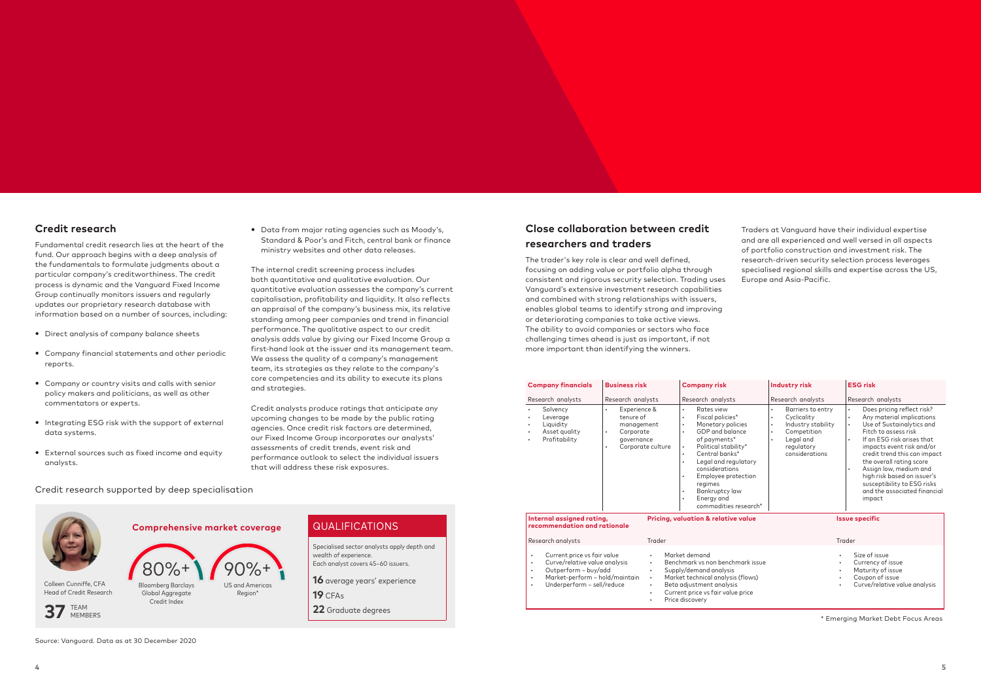# **Close collaboration between credit researchers and traders**

The trader's key role is clear and well defined, focusing on adding value or portfolio alpha through consistent and rigorous security selection. Trading uses Vanguard's extensive investment research capabilities and combined with strong relationships with issuers, enables global teams to identify strong and improving or deteriorating companies to take active views. The ability to avoid companies or sectors who face challenging times ahead is just as important, if not more important than identifying the winners.

Traders at Vanguard have their individual expertise and are all experienced and well versed in all aspects of portfolio construction and investment risk. The research-driven security selection process leverages specialised regional skills and expertise across the US, Europe and Asia-Pacific.

# QUALIFICATIONS

Specialised sector analysts apply depth and wealth of experience. Each analyst covers 45–60 issuers.

**16** average years' experience

**19** CFAs

**22** Graduate degrees

**Comprehensive market coverage**



90%+ US and Americas Region\*

#### Credit research supported by deep specialisation



Colleen Cunniffe, CFA Head of Credit Research

MEMBERS

**37** TEAM

Source: Vanguard. Data as at 30 December 2020

- Direct analysis of company balance sheets
- Company financial statements and other periodic reports.
- Company or country visits and calls with senior policy makers and politicians, as well as other commentators or experts.
- Integrating ESG risk with the support of external data systems.
- External sources such as fixed income and equity analysts.

• Data from major rating agencies such as Moody's, Standard & Poor's and Fitch, central bank or finance ministry websites and other data releases.

| <b>Company financials</b>                                                                                                                                                             | <b>Business risk</b>                                                                                      | <b>Company risk</b>                                                                                                                                                                                                                                                                                                                                                                                     | <b>Industry risk</b>                                                                                                                                                   | <b>ESG risk</b>                                                                                                                                                                                                                                                                                                                                                                                                                        |
|---------------------------------------------------------------------------------------------------------------------------------------------------------------------------------------|-----------------------------------------------------------------------------------------------------------|---------------------------------------------------------------------------------------------------------------------------------------------------------------------------------------------------------------------------------------------------------------------------------------------------------------------------------------------------------------------------------------------------------|------------------------------------------------------------------------------------------------------------------------------------------------------------------------|----------------------------------------------------------------------------------------------------------------------------------------------------------------------------------------------------------------------------------------------------------------------------------------------------------------------------------------------------------------------------------------------------------------------------------------|
| Research analysts                                                                                                                                                                     | Research analysts                                                                                         | Research analysts                                                                                                                                                                                                                                                                                                                                                                                       | Research analysts                                                                                                                                                      | Research analysts                                                                                                                                                                                                                                                                                                                                                                                                                      |
| Solvency<br>$\bullet$<br>Leverage<br>٠<br>Liquidity<br>٠<br>Asset quality<br>٠<br>Profitability                                                                                       | Experience &<br>$\bullet$<br>tenure of<br>management<br>Corporate<br>٠<br>governance<br>Corporate culture | Rates view<br>$\bullet$<br>Fiscal policies*<br>$\bullet$<br>Monetary policies<br>$\bullet$<br>GDP and balance<br>$\bullet$<br>of payments*<br>Political stability*<br>$\bullet$<br>Central banks*<br>$\bullet$<br>Legal and regulatory<br>$\bullet$<br>considerations<br>Employee protection<br>$\bullet$<br>regimes<br>Bankruptcy law<br>$\bullet$<br>Energy and<br>$\bullet$<br>commodities research* | Barriers to entry<br>$\bullet$<br>Cyclicality<br>$\bullet$<br>Industry stability<br>$\bullet$<br>Competition<br>$\bullet$<br>Legal and<br>regulatory<br>considerations | Does pricing reflect risk?<br>$\bullet$<br>Any material implications<br>$\bullet$<br>Use of Sustainalytics and<br>$\bullet$<br>Fitch to assess risk<br>If an ESG risk arises that<br>$\bullet$<br>impacts event risk and/or<br>credit trend this can impact<br>the overall rating score<br>Assign low, medium and<br>$\bullet$<br>high risk based on issuer's<br>susceptibility to ESG risks<br>and the associated financial<br>impact |
| Internal assigned rating,<br>recommendation and rationale<br>Research analysts                                                                                                        | Trader                                                                                                    | <b>Pricing, valuation &amp; relative value</b>                                                                                                                                                                                                                                                                                                                                                          |                                                                                                                                                                        | <b>Issue specific</b><br>Trader                                                                                                                                                                                                                                                                                                                                                                                                        |
| Current price vs fair value<br>٠<br>Curve/relative value analysis<br>٠<br>Outperform - buy/add<br>٠<br>Market-perform - hold/maintain<br>$\bullet$<br>Underperform - sell/reduce<br>٠ | $\bullet$<br>$\bullet$<br>$\bullet$<br>$\bullet$<br>$\bullet$<br>$\bullet$                                | Market demand<br>Benchmark vs non benchmark issue<br>Supply/demand analysis<br>Market technical analysis (flows)<br>Beta adjustment analysis<br>Current price vs fair value price<br>Price discovery                                                                                                                                                                                                    | $\bullet$<br>٠<br>٠<br>٠                                                                                                                                               | Size of issue<br>Currency of issue<br>Maturity of issue<br>Coupon of issue<br>Curve/relative value analysis                                                                                                                                                                                                                                                                                                                            |

## **Credit research**

Fundamental credit research lies at the heart of the fund. Our approach begins with a deep analysis of the fundamentals to formulate judgments about a particular company's creditworthiness. The credit process is dynamic and the Vanguard Fixed Income Group continually monitors issuers and regularly updates our proprietary research database with information based on a number of sources, including:

The internal credit screening process includes both quantitative and qualitative evaluation. Our quantitative evaluation assesses the company's current capitalisation, profitability and liquidity. It also reflects an appraisal of the company's business mix, its relative standing among peer companies and trend in financial performance. The qualitative aspect to our credit analysis adds value by giving our Fixed Income Group a first-hand look at the issuer and its management team. We assess the quality of a company's management team, its strategies as they relate to the company's core competencies and its ability to execute its plans and strategies.

Credit analysts produce ratings that anticipate any upcoming changes to be made by the public rating agencies. Once credit risk factors are determined, our Fixed Income Group incorporates our analysts' assessments of credit trends, event risk and performance outlook to select the individual issuers that will address these risk exposures.

\* Emerging Market Debt Focus Areas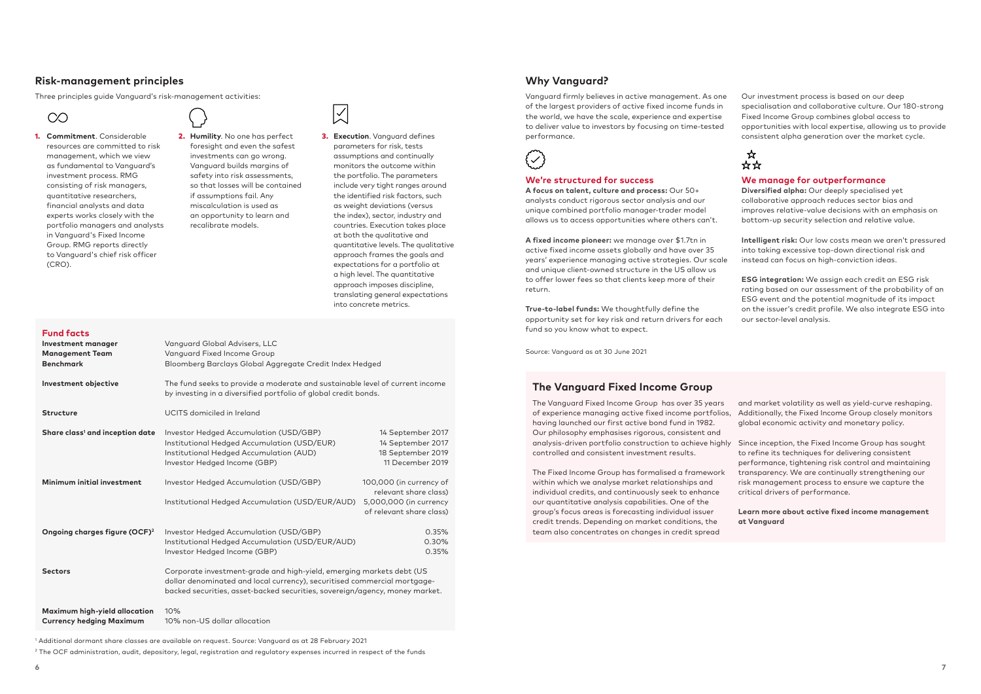# **Why Vanguard?**

Vanguard firmly believes in active management. As one of the largest providers of active fixed income funds in the world, we have the scale, experience and expertise to deliver value to investors by focusing on time-tested performance.



Our investment process is based on our deep specialisation and collaborative culture. Our 180-strong Fixed Income Group combines global access to opportunities with local expertise, allowing us to provide consistent alpha generation over the market cycle.



# **The Vanguard Fixed Income Group**

The Vanguard Fixed Income Group has over 35 years of experience managing active fixed income portfolios, having launched our first active bond fund in 1982. Our philosophy emphasises rigorous, consistent and analysis-driven portfolio construction to achieve highly Since inception, the Fixed Income Group has sought controlled and consistent investment results. and market volatility as well as yield-curve reshaping. Additionally, the Fixed Income Group closely monitors global economic activity and monetary policy. to refine its techniques for delivering consistent

The Fixed Income Group has formalised a framework within which we analyse market relationships and individual credits, and continuously seek to enhance our quantitative analysis capabilities. One of the group's focus areas is forecasting individual issuer credit trends. Depending on market conditions, the team also concentrates on changes in credit spread

performance, tightening risk control and maintaining transparency. We are continually strengthening our risk management process to ensure we capture the critical drivers of performance.

**Learn more about active fixed income management at Vanguard**

## **We're structured for success**

**A focus on talent, culture and process:** Our 50+ analysts conduct rigorous sector analysis and our unique combined portfolio manager-trader model allows us to access opportunities where others can't.

**A fixed income pioneer:** we manage over \$1.7tn in active fixed income assets globally and have over 35 years' experience managing active strategies. Our scale and unique client-owned structure in the US allow us to offer lower fees so that clients keep more of their return.

**True-to-label funds:** We thoughtfully define the opportunity set for key risk and return drivers for each fund so you know what to expect.

## **We manage for outperformance**

**Diversified alpha:** Our deeply specialised yet collaborative approach reduces sector bias and improves relative-value decisions with an emphasis on bottom-up security selection and relative value.

**Intelligent risk:** Our low costs mean we aren't pressured into taking excessive top-down directional risk and instead can focus on high-conviction ideas.

**ESG integration:** We assign each credit an ESG risk rating based on our assessment of the probability of an ESG event and the potential magnitude of its impact on the issuer's credit profile. We also integrate ESG into our sector-level analysis.

## **Fund facts**

| <b>Investment manager</b><br><b>Management Team</b><br><b>Benchmark</b> | Vanguard Global Advisers, LLC<br>Vanguard Fixed Income Group<br>Bloomberg Barclays Global Aggregate Credit Index Hedged                                                                                                         |                                                                                                        |  |
|-------------------------------------------------------------------------|---------------------------------------------------------------------------------------------------------------------------------------------------------------------------------------------------------------------------------|--------------------------------------------------------------------------------------------------------|--|
| Investment objective                                                    | The fund seeks to provide a moderate and sustainable level of current income<br>by investing in a diversified portfolio of global credit bonds.                                                                                 |                                                                                                        |  |
| <b>Structure</b>                                                        | UCITS domiciled in Ireland                                                                                                                                                                                                      |                                                                                                        |  |
| Share class <sup>1</sup> and inception date                             | Investor Hedged Accumulation (USD/GBP)<br>Institutional Hedged Accumulation (USD/EUR)<br>Institutional Hedged Accumulation (AUD)<br>Investor Hedged Income (GBP)                                                                | 14 September 2017<br>14 September 2017<br>18 September 2019<br>11 December 2019                        |  |
| Minimum initial investment                                              | Investor Hedged Accumulation (USD/GBP)<br>Institutional Hedged Accumulation (USD/EUR/AUD)                                                                                                                                       | 100,000 (in currency of<br>relevant share class)<br>5,000,000 (in currency<br>of relevant share class) |  |
| Ongoing charges figure (OCF) <sup>2</sup>                               | Investor Hedged Accumulation (USD/GBP)<br>Institutional Hedged Accumulation (USD/EUR/AUD)<br>Investor Hedged Income (GBP)                                                                                                       | 0.35%<br>0.30%<br>0.35%                                                                                |  |
| <b>Sectors</b>                                                          | Corporate investment-grade and high-yield, emerging markets debt (US<br>dollar denominated and local currency), securitised commercial mortgage-<br>backed securities, asset-backed securities, sovereign/agency, money market. |                                                                                                        |  |
| Maximum high-yield allocation<br><b>Currency hedging Maximum</b>        | 10%<br>10% non-US dollar allocation                                                                                                                                                                                             |                                                                                                        |  |

# **Risk-management principles**

Three principles guide Vanguard's risk-management activities:



### 1. **Commitment**. Considerable resources are committed to risk management, which we view as fundamental to Vanguard's investment process. RMG consisting of risk managers, quantitative researchers, financial analysts and data experts works closely with the portfolio managers and analysts in Vanguard's Fixed Income Group. RMG reports directly to Vanguard's chief risk officer (CRO).

2. **Humility**. No one has perfect foresight and even the safest investments can go wrong. Vanguard builds margins of safety into risk assessments, so that losses will be contained if assumptions fail. Any

miscalculation is used as an opportunity to learn and

recalibrate models.

3. **Execution**. Vanguard defines parameters for risk, tests assumptions and continually monitors the outcome within the portfolio. The parameters include very tight ranges around the identified risk factors, such as weight deviations (versus the index), sector, industry and countries. Execution takes place at both the qualitative and quantitative levels. The qualitative approach frames the goals and expectations for a portfolio at a high level. The quantitative approach imposes discipline, translating general expectations into concrete metrics.

 $\overline{\times}$ 

1 Additional dormant share classes are available on request. Source: Vanguard as at 28 February 2021

 $^2$  The OCF administration, audit, depository, legal, registration and regulatory expenses incurred in respect of the funds

Source: Vanguard as at 30 June 2021